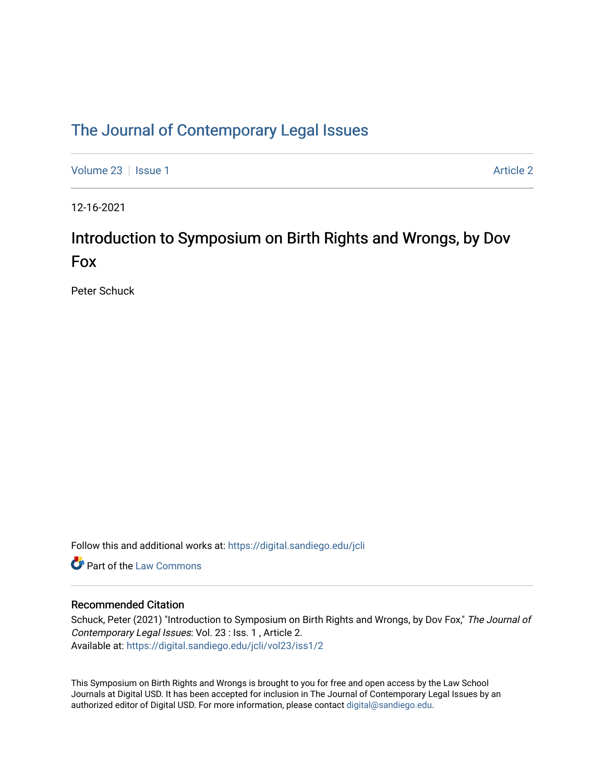### [The Journal of Contemporary Legal Issues](https://digital.sandiego.edu/jcli)

[Volume 23](https://digital.sandiego.edu/jcli/vol23) | [Issue 1](https://digital.sandiego.edu/jcli/vol23/iss1) [Article 2](https://digital.sandiego.edu/jcli/vol23/iss1/2) | Article 2 Article 2 | Article 2 | Article 2 | Article 2 | Article 2 | Article 2

12-16-2021

# Introduction to Symposium on Birth Rights and Wrongs, by Dov Fox

Peter Schuck

Follow this and additional works at: [https://digital.sandiego.edu/jcli](https://digital.sandiego.edu/jcli?utm_source=digital.sandiego.edu%2Fjcli%2Fvol23%2Fiss1%2F2&utm_medium=PDF&utm_campaign=PDFCoverPages) 

**C** Part of the [Law Commons](http://network.bepress.com/hgg/discipline/578?utm_source=digital.sandiego.edu%2Fjcli%2Fvol23%2Fiss1%2F2&utm_medium=PDF&utm_campaign=PDFCoverPages)

### Recommended Citation

Schuck, Peter (2021) "Introduction to Symposium on Birth Rights and Wrongs, by Dov Fox," The Journal of Contemporary Legal Issues: Vol. 23 : Iss. 1 , Article 2. Available at: [https://digital.sandiego.edu/jcli/vol23/iss1/2](https://digital.sandiego.edu/jcli/vol23/iss1/2?utm_source=digital.sandiego.edu%2Fjcli%2Fvol23%2Fiss1%2F2&utm_medium=PDF&utm_campaign=PDFCoverPages)

This Symposium on Birth Rights and Wrongs is brought to you for free and open access by the Law School Journals at Digital USD. It has been accepted for inclusion in The Journal of Contemporary Legal Issues by an authorized editor of Digital USD. For more information, please contact [digital@sandiego.edu](mailto:digital@sandiego.edu).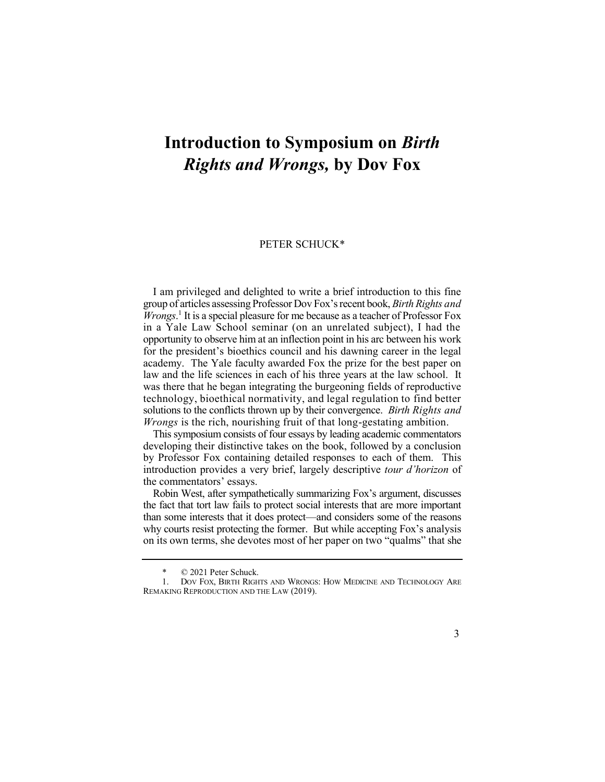# **Introduction to Symposium on** *Birth Rights and Wrongs,* **by Dov Fox**

#### PETER SCHUCK\*

 I am privileged and delighted to write a brief introduction to this fine *Wrongs*. 1 It is a special pleasure for me because as a teacher of Professor Fox was there that he began integrating the burgeoning fields of reproductive technology, bioethical normativity, and legal regulation to find better solutions to the conflicts thrown up by their convergence. *Birth Rights and Wrongs* is the rich, nourishing fruit of that long-gestating ambition. group of articles assessing Professor Dov Fox'srecent book, *Birth Rights and*  in a Yale Law School seminar (on an unrelated subject), I had the opportunity to observe him at an inflection point in his arc between his work for the president's bioethics council and his dawning career in the legal academy. The Yale faculty awarded Fox the prize for the best paper on law and the life sciences in each of his three years at the law school. It

 This symposium consists of four essays by leading academic commentators developing their distinctive takes on the book, followed by a conclusion by Professor Fox containing detailed responses to each of them. This introduction provides a very brief, largely descriptive *tour d'horizon* of the commentators' essays.

 Robin West, after sympathetically summarizing Fox's argument, discusses the fact that tort law fails to protect social interests that are more important than some interests that it does protect—and considers some of the reasons why courts resist protecting the former. But while accepting Fox's analysis on its own terms, she devotes most of her paper on two "qualms" that she

 $\odot$  2021 Peter Schuck.

 1. DOV FOX, BIRTH RIGHTS AND WRONGS: HOW MEDICINE AND TECHNOLOGY ARE REMAKING REPRODUCTION AND THE LAW (2019).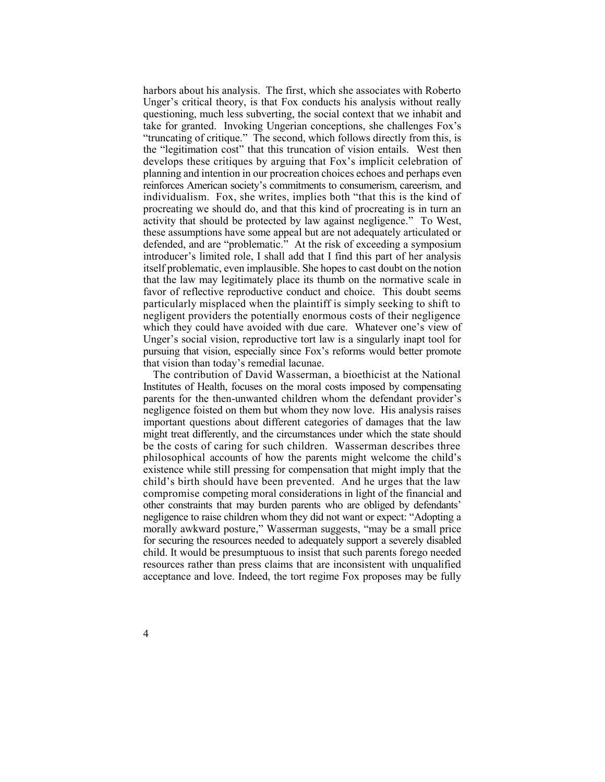harbors about his analysis. The first, which she associates with Roberto Unger's critical theory, is that Fox conducts his analysis without really questioning, much less subverting, the social context that we inhabit and take for granted. Invoking Ungerian conceptions, she challenges Fox's "truncating of critique." The second, which follows directly from this, is the "legitimation cost" that this truncation of vision entails. West then develops these critiques by arguing that Fox's implicit celebration of reinforces American society's commitments to consumerism, careerism, and individualism. Fox, she writes, implies both "that this is the kind of procreating we should do, and that this kind of procreating is in turn an activity that should be protected by law against negligence." To West, defended, and are "problematic." At the risk of exceeding a symposium introducer's limited role, I shall add that I find this part of her analysis itself problematic, even implausible. She hopes to cast doubt on the notion that the law may legitimately place its thumb on the normative scale in favor of reflective reproductive conduct and choice. This doubt seems negligent providers the potentially enormous costs of their negligence which they could have avoided with due care. Whatever one's view of Unger's social vision, reproductive tort law is a singularly inapt tool for pursuing that vision, especially since Fox's reforms would better promote planning and intention in our procreation choices echoes and perhaps even these assumptions have some appeal but are not adequately articulated or particularly misplaced when the plaintiff is simply seeking to shift to that vision than today's remedial lacunae.

 The contribution of David Wasserman, a bioethicist at the National Institutes of Health, focuses on the moral costs imposed by compensating parents for the then-unwanted children whom the defendant provider's negligence foisted on them but whom they now love. His analysis raises important questions about different categories of damages that the law might treat differently, and the circumstances under which the state should be the costs of caring for such children. Wasserman describes three philosophical accounts of how the parents might welcome the child's existence while still pressing for compensation that might imply that the child's birth should have been prevented. And he urges that the law compromise competing moral considerations in light of the financial and other constraints that may burden parents who are obliged by defendants' morally awkward posture," Wasserman suggests, "may be a small price for securing the resources needed to adequately support a severely disabled resources rather than press claims that are inconsistent with unqualified acceptance and love. Indeed, the tort regime Fox proposes may be fully negligence to raise children whom they did not want or expect: "Adopting a child. It would be presumptuous to insist that such parents forego needed

4